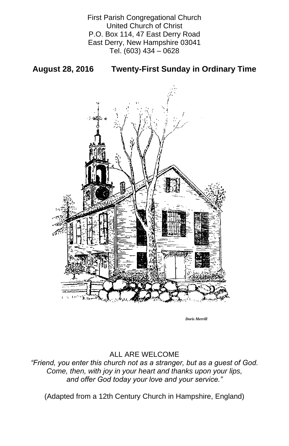First Parish Congregational Church United Church of Christ P.O. Box 114, 47 East Derry Road East Derry, New Hampshire 03041 Tel. (603) 434 – 0628

## **August 28, 2016 Twenty-First Sunday in Ordinary Time**



### ALL ARE WELCOME

### *"Friend, you enter this church not as a stranger, but as a guest of God. Come, then, with joy in your heart and thanks upon your lips, and offer God today your love and your service."*

(Adapted from a 12th Century Church in Hampshire, England)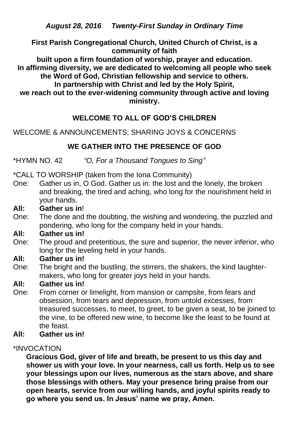*August 28, 2016 Twenty-First Sunday in Ordinary Time*

**First Parish Congregational Church, United Church of Christ, is a community of faith** 

**built upon a firm foundation of worship, prayer and education. In affirming diversity, we are dedicated to welcoming all people who seek the Word of God, Christian fellowship and service to others. In partnership with Christ and led by the Holy Spirit,**

**we reach out to the ever-widening community through active and loving ministry.**

# **WELCOME TO ALL OF GOD'S CHILDREN**

WELCOME & ANNOUNCEMENTS; SHARING JOYS & CONCERNS

# **WE GATHER INTO THE PRESENCE OF GOD**

\*HYMN NO. 42 *"O, For a Thousand Tongues to Sing"*

\*CALL TO WORSHIP (taken from the Iona Community)

- One: Gather us in, O God. Gather us in: the lost and the lonely, the broken and breaking, the tired and aching, who long for the nourishment held in your hands.
- **All: Gather us in**!
- One: The done and the doubting, the wishing and wondering, the puzzled and pondering, who long for the company held in your hands.

## **All: Gather us in!**

- One: The proud and pretentious, the sure and superior, the never inferior, who long for the leveling held in your hands.
- **All: Gather us in!**
- One: The bright and the bustling, the stirrers, the shakers, the kind laughtermakers, who long for greater joys held in your hands.

# **All: Gather us in!**

One: From corner or limelight, from mansion or campsite, from fears and obsession, from tears and depression, from untold excesses, from treasured successes, to meet, to greet, to be given a seat, to be joined to the vine, to be offered new wine, to become like the least to be found at the feast.

#### **All: Gather us in!**

#### \*INVOCATION

**Gracious God, giver of life and breath, be present to us this day and shower us with your love. In your nearness, call us forth. Help us to see your blessings upon our lives, numerous as the stars above, and share those blessings with others. May your presence bring praise from our open hearts, service from our willing hands, and joyful spirits ready to go where you send us. In Jesus' name we pray, Amen.**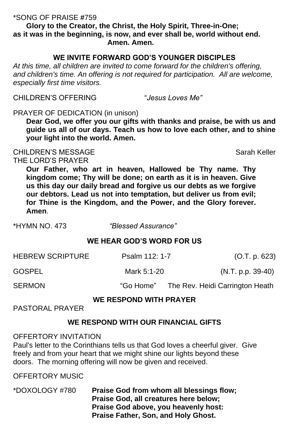#### \*SONG OF PRAISE **#**759

**Glory to the Creator, the Christ, the Holy Spirit, Three-in-One; as it was in the beginning, is now, and ever shall be, world without end. Amen. Amen.**

## **WE INVITE FORWARD GOD'S YOUNGER DISCIPLES**

*At this time, all children are invited to come forward for the children's offering,*  and children's time. An offering is not required for participation. All are welcome, *especially first time visitors.*

CHILDREN'S MESSAGE Sarah Keller THE LORD'S PRAYER

CHILDREN'S OFFERING "*Jesus Loves Me"*

PRAYER OF DEDICATION (in unison)

**Dear God, we offer you our gifts with thanks and praise, be with us and guide us all of our days. Teach us how to love each other, and to shine your light into the world. Amen.**

| <b>HEBREW SCRIPTURE</b>                                 | Psalm 112: 1-7 | (O.T. p. 623)                             |
|---------------------------------------------------------|----------------|-------------------------------------------|
| GOSPEL                                                  | Mark 5:1-20    | $(N.T. p.p. 39-40)$                       |
| <b>SERMON</b>                                           |                | "Go Home" The Rev. Heidi Carrington Heath |
| <b>WE RESPOND WITH PRAYER</b><br><b>PASTORAL PRAYER</b> |                |                                           |

**Our Father, who art in heaven, Hallowed be Thy name. Thy kingdom come; Thy will be done; on earth as it is in heaven. Give us this day our daily bread and forgive us our debts as we forgive our debtors. Lead us not into temptation, but deliver us from evil; for Thine is the Kingdom, and the Power, and the Glory forever. Amen**.

\*HYMN NO. 473 *"Blessed Assurance"*

### **WE HEAR GOD'S WORD FOR US**

**WE RESPOND WITH OUR FINANCIAL GIFTS**

#### OFFERTORY INVITATION

Paul's letter to the Corinthians tells us that God loves a cheerful giver. Give freely and from your heart that we might shine our lights beyond these doors. The morning offering will now be given and received.

OFFERTORY MUSIC

\*DOXOLOGY #780 **Praise God from whom all blessings flow; Praise God, all creatures here below; Praise God above, you heavenly host: Praise Father, Son, and Holy Ghost.**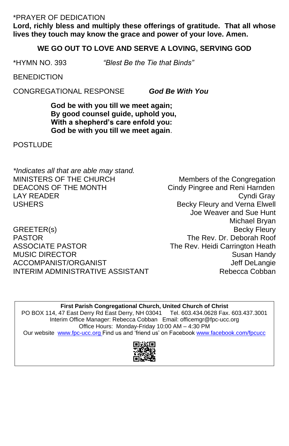\*PRAYER OF DEDICATION

**Lord, richly bless and multiply these offerings of gratitude. That all whose lives they touch may know the grace and power of your love. Amen.**

#### **WE GO OUT TO LOVE AND SERVE A LOVING, SERVING GOD**

*\*Indicates all that are able may stand.* MINISTERS OF THE CHURCH Members of the Congregation DEACONS OF THE MONTH Cindy Pingree and Reni Harnden LAY READER Cyndi Gray USHERS **Becky Fleury and Verna Elwell** 

GREETER(s) Becky Fleury PASTOR The Rev. Dr. Deborah Roof ASSOCIATE PASTOR The Rev. Heidi Carrington Heath MUSIC DIRECTOR Susan Handy ACCOMPANIST/ORGANIST **SECOMPANIST** ACCOMPANIST ACCOMPANIST INTERIM ADMINISTRATIVE ASSISTANT THE Rebecca Cobban

\*HYMN NO. 393 *"Blest Be the Tie that Binds"*

**BENEDICTION** 

CONGREGATIONAL RESPONSE *God Be With You*

**God be with you till we meet again; By good counsel guide, uphold you, With a shepherd's care enfold you: God be with you till we meet again**.

**POSTLUDE** 

Joe Weaver and Sue Hunt Michael Bryan

**First Parish Congregational Church, United Church of Christ** PO BOX 114, 47 East Derry Rd East Derry, NH 03041 Tel. 603.434.0628 Fax. 603.437.3001 Interim Office Manager: Rebecca Cobban Email: officemgr@fpc-ucc.org Office Hours: Monday-Friday 10:00 AM – 4:30 PM

Our website [www.fpc-ucc.org](http://www.fpc-ucc.org/) Find us and 'friend us' on Facebook [www.facebook.com/fpcucc](http://www.facebook.com/fpcucc)